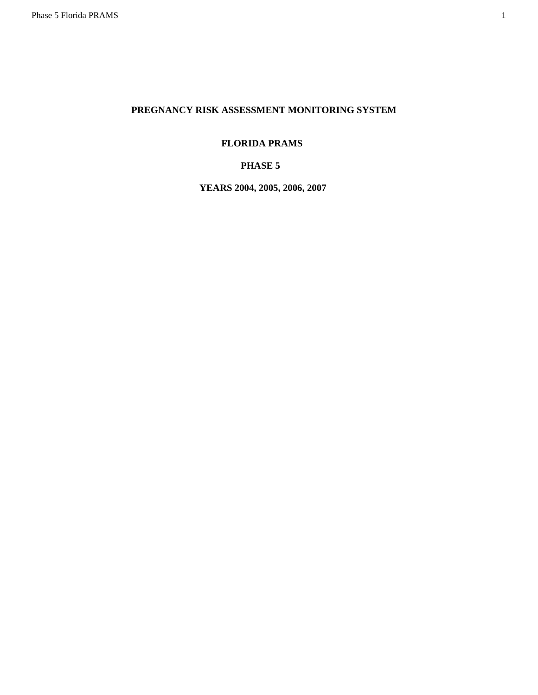## **PREGNANCY RISK ASSESSMENT MONITORING SYSTEM**

 **FLORIDA PRAMS** 

## **PHASE 5**

 **YEARS 2004, 2005, 2006, 2007**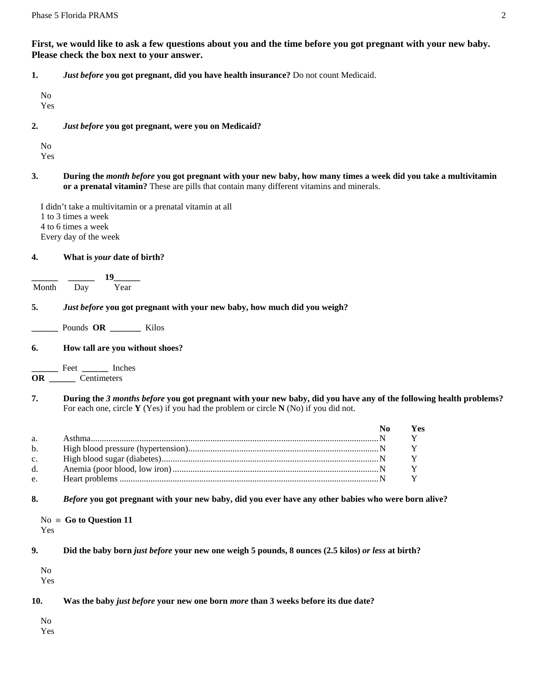## **First, we would like to ask a few questions about you and the time before you got pregnant with your new baby. Please check the box next to your answer.**

**1.** *Just before* **you got pregnant, did you have health insurance?** Do not count Medicaid.

No Yes

**2.** *Just before* **you got pregnant, were you on Medicaid?** 

No

Yes

**3. During the** *month before* **you got pregnant with your new baby, how many times a week did you take a multivitamin or a prenatal vitamin?** These are pills that contain many different vitamins and minerals.

I didn't take a multivitamin or a prenatal vitamin at all 1 to 3 times a week 4 to 6 times a week Every day of the week

#### **4. What is** *your* **date of birth?**

**\_\_\_\_\_\_ \_\_\_\_\_\_ 19\_\_\_\_\_\_** Month Day Year

- **5.** *Just before* **you got pregnant with your new baby, how much did you weigh?**
- **\_\_\_\_\_\_** Pounds **OR \_\_\_\_\_\_\_** Kilos
- **6. How tall are you without shoes?**

**\_\_\_\_\_\_** Feet **\_\_\_\_\_\_** Inches **OR \_\_\_\_\_\_** Centimeters

**7. During the** *3 months before* **you got pregnant with your new baby, did you have any of the following health problems?**  For each one, circle **Y** (Yes) if you had the problem or circle **N** (No) if you did not.

|                |  | Ves |
|----------------|--|-----|
|                |  |     |
| b.             |  |     |
| c.             |  |     |
| d.             |  |     |
| e <sub>z</sub> |  |     |

**8.** *Before* **you got pregnant with your new baby, did you ever have any other babies who were born alive?** 

 $No = Go$  to Question 11 Yes

**9. Did the baby born** *just before* **your new one weigh 5 pounds, 8 ounces (2.5 kilos)** *or less* **at birth?** 

No Yes

#### **10. Was the baby** *just before* **your new one born** *more* **than 3 weeks before its due date?**

No Yes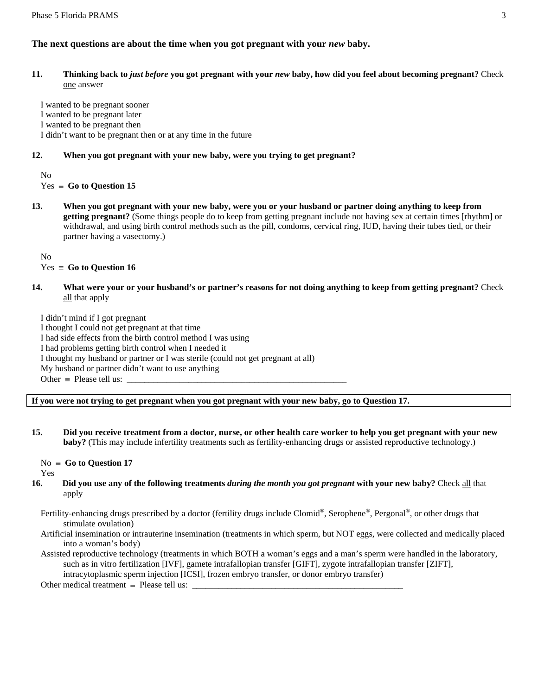## The next questions are about the time when you got pregnant with your *new* baby.

**11. Thinking back to** *just before* **you got pregnant with your** *new* **baby, how did you feel about becoming pregnant?** Check one answer

I wanted to be pregnant sooner I wanted to be pregnant later I wanted to be pregnant then I didn't want to be pregnant then or at any time in the future

#### **12. When you got pregnant with your new baby, were you trying to get pregnant?**

No

 $Yes = Go to Question 15$ 

**13. When you got pregnant with your new baby, were you or your husband or partner doing anything to keep from getting pregnant?** (Some things people do to keep from getting pregnant include not having sex at certain times [rhythm] or withdrawal, and using birth control methods such as the pill, condoms, cervical ring, IUD, having their tubes tied, or their partner having a vasectomy.)

No

#### $Yes = Go to Question 16$

**14. What were your or your husband's or partner's reasons for not doing anything to keep from getting pregnant?** Check all that apply

I didn't mind if I got pregnant

I thought I could not get pregnant at that time

I had side effects from the birth control method I was using

I had problems getting birth control when I needed it

I thought my husband or partner or I was sterile (could not get pregnant at all)

My husband or partner didn't want to use anything

Other  $\equiv$  Please tell us:

#### **If you were not trying to get pregnant when you got pregnant with your new baby, go to Question 17.**

**15. Did you receive treatment from a doctor, nurse, or other health care worker to help you get pregnant with your new baby?** (This may include infertility treatments such as fertility-enhancing drugs or assisted reproductive technology.)

# $No = Go$  to Question 17

Yes

- **16. Did you use any of the following treatments** *during the month you got pregnant* **with your new baby?** Check all that apply
	- Fertility-enhancing drugs prescribed by a doctor (fertility drugs include Clomid®, Serophene®, Pergonal®, or other drugs that stimulate ovulation)
	- Artificial insemination or intrauterine insemination (treatments in which sperm, but NOT eggs, were collected and medically placed into a woman's body)
	- Assisted reproductive technology (treatments in which BOTH a woman's eggs and a man's sperm were handled in the laboratory, such as in vitro fertilization [IVF], gamete intrafallopian transfer [GIFT], zygote intrafallopian transfer [ZIFT], intracytoplasmic sperm injection [ICSI], frozen embryo transfer, or donor embryo transfer)

Other medical treatment  $\equiv$  Please tell us: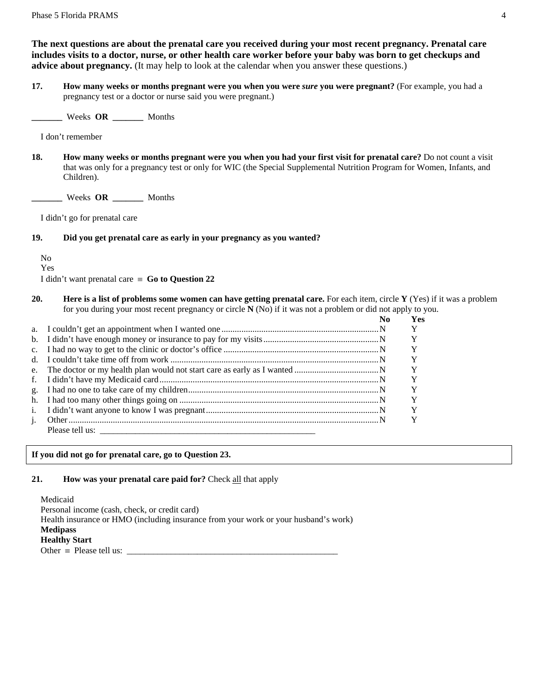**The next questions are about the prenatal care you received during your most recent pregnancy. Prenatal care includes visits to a doctor, nurse, or other health care worker before your baby was born to get checkups and advice about pregnancy.** (It may help to look at the calendar when you answer these questions.)

**17.** How many weeks or months pregnant were you when you were *sure* you were pregnant? (For example, you had a pregnancy test or a doctor or nurse said you were pregnant.)

**\_\_\_\_\_\_\_** Weeks **OR \_\_\_\_\_\_\_** Months

I don't remember

**18.** How many weeks or months pregnant were you when you had your first visit for prenatal care? Do not count a visit that was only for a pregnancy test or only for WIC (the Special Supplemental Nutrition Program for Women, Infants, and Children).

**\_\_\_\_\_\_\_** Weeks **OR \_\_\_\_\_\_\_** Months

I didn't go for prenatal care

#### **19. Did you get prenatal care as early in your pregnancy as you wanted?**

No

Yes

I didn't want prenatal care  $\equiv$  **Go to Question 22** 

**20.** Here is a list of problems some women can have getting prenatal care. For each item, circle **Y** (Yes) if it was a problem for you during your most recent pregnancy or circle **N** (No) if it was not a problem or did not apply to you.

|                |                 | Yes |
|----------------|-----------------|-----|
|                |                 |     |
|                |                 |     |
|                |                 |     |
| $d_{-}$        |                 |     |
|                |                 |     |
|                |                 |     |
| $\mathbf{g}$ . |                 |     |
| h.             |                 |     |
| i.             |                 |     |
| 1.             |                 |     |
|                | Please tell us: |     |

**If you did not go for prenatal care, go to Question 23.**

#### **21. How was your prenatal care paid for?** Check all that apply

Medicaid Personal income (cash, check, or credit card) Health insurance or HMO (including insurance from your work or your husband's work) **Medipass Healthy Start**  $\text{Other} = \text{Please tell us: }$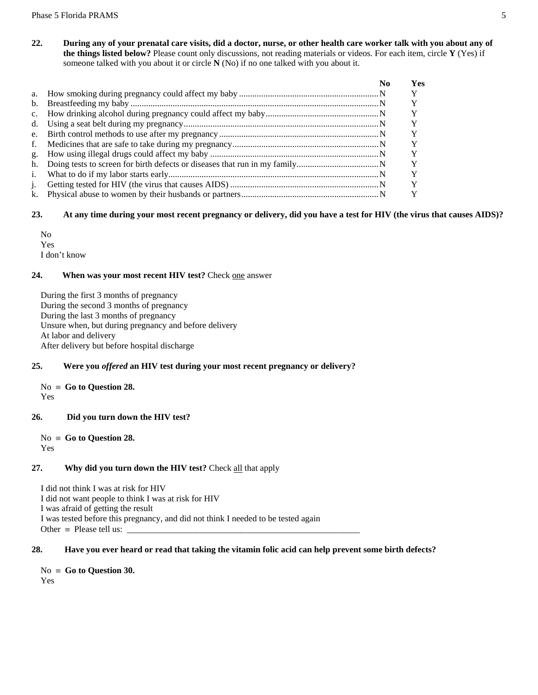**22. During any of your prenatal care visits, did a doctor, nurse, or other health care worker talk with you about any of the things listed below?** Please count only discussions, not reading materials or videos. For each item, circle **Y** (Yes) if someone talked with you about it or circle **N** (No) if no one talked with you about it.

|                | No | Yes |
|----------------|----|-----|
| a.             |    |     |
| b.             |    |     |
|                |    |     |
| d.             |    |     |
| e.             |    |     |
| f.             |    |     |
| g.             |    |     |
| h.             |    |     |
| $\mathbf{i}$ . |    |     |
| 1.             |    |     |
| k.             |    |     |

## **23. At any time during your most recent pregnancy or delivery, did you have a test for HIV (the virus that causes AIDS)?**

| Nο           |
|--------------|
| Yes          |
| I don't know |

## 24. When was your most recent HIV test? Check one answer

During the first 3 months of pregnancy During the second 3 months of pregnancy During the last 3 months of pregnancy Unsure when, but during pregnancy and before delivery At labor and delivery After delivery but before hospital discharge

## **25. Were you** *offered* **an HIV test during your most recent pregnancy or delivery?**

 No ≡ **Go to Question 28.** Yes

#### **26. Did you turn down the HIV test?**

 No ≡ **Go to Question 28.** Yes

#### 27. Why did you turn down the HIV test? Check all that apply

 I did not think I was at risk for HIV I did not want people to think I was at risk for HIV I was afraid of getting the result I was tested before this pregnancy, and did not think I needed to be tested again Other  $\equiv$  Please tell us:

## **28. Have you ever heard or read that taking the vitamin folic acid can help prevent some birth defects?**

 No ≡ **Go to Question 30.** Yes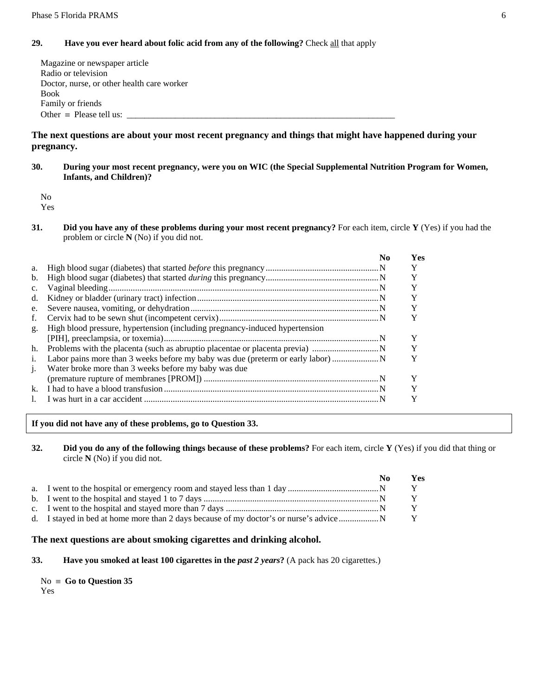#### **29. Have you ever heard about folic acid from any of the following?** Check all that apply

| Magazine or newspaper article              |  |
|--------------------------------------------|--|
| Radio or television                        |  |
| Doctor, nurse, or other health care worker |  |
| <b>Book</b>                                |  |
| Family or friends                          |  |
| Other $\equiv$ Please tell us:             |  |

## **The next questions are about your most recent pregnancy and things that might have happened during your pregnancy.**

**30. During your most recent pregnancy, were you on WIC (the Special Supplemental Nutrition Program for Women, Infants, and Children)?** 

No

Yes

**31. Did you have any of these problems during your most recent pregnancy?** For each item, circle **Y** (Yes) if you had the problem or circle **N** (No) if you did not.

|                |                                                                               | N0 | Yes |
|----------------|-------------------------------------------------------------------------------|----|-----|
| a.             |                                                                               |    |     |
| b.             |                                                                               |    |     |
| $c_{\cdot}$    |                                                                               |    |     |
| d.             |                                                                               |    |     |
| e.             |                                                                               |    |     |
| f.             |                                                                               |    |     |
| g.             | High blood pressure, hypertension (including pregnancy-induced hypertension   |    |     |
|                |                                                                               |    | v   |
| h.             |                                                                               |    |     |
| $\mathbf{i}$ . | Labor pains more than 3 weeks before my baby was due (preterm or early labor) |    |     |
| $\mathbf{1}$   | Water broke more than 3 weeks before my baby was due                          |    |     |
|                |                                                                               |    |     |
| $\mathbf{k}$ . |                                                                               |    |     |
| $\mathbf{1}$ . |                                                                               |    |     |

#### **If you did not have any of these problems, go to Question 33.**

#### **32. Did you do any of the following things because of these problems?** For each item, circle **Y** (Yes) if you did that thing or circle **N** (No) if you did not.

|  | No. | Yes |
|--|-----|-----|
|  |     |     |
|  |     |     |
|  |     |     |
|  |     |     |

#### **The next questions are about smoking cigarettes and drinking alcohol.**

**33.** Have you smoked at least 100 cigarettes in the *past 2 years*? (A pack has 20 cigarettes.)

 $No = Go$  to Question 35 Yes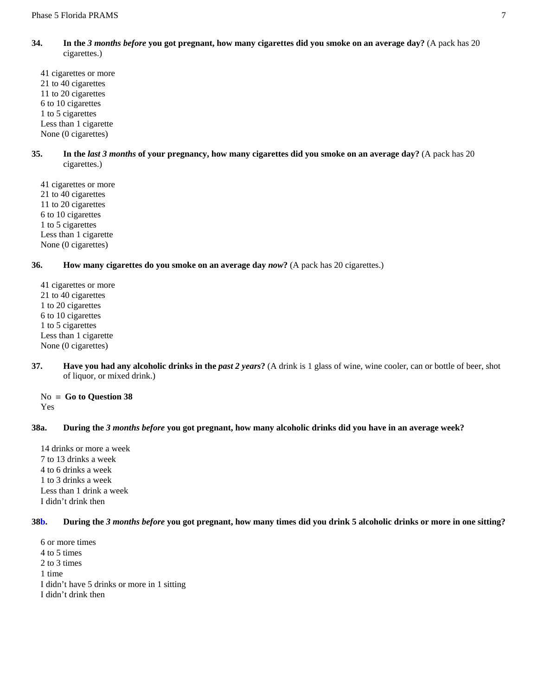**34. In the** *3 months before* **you got pregnant, how many cigarettes did you smoke on an average day?** (A pack has 20 cigarettes.)

41 cigarettes or more 21 to 40 cigarettes 11 to 20 cigarettes 6 to 10 cigarettes 1 to 5 cigarettes Less than 1 cigarette None (0 cigarettes)

**35. In the** *last 3 months* **of your pregnancy, how many cigarettes did you smoke on an average day?** (A pack has 20 cigarettes.)

41 cigarettes or more 21 to 40 cigarettes 11 to 20 cigarettes 6 to 10 cigarettes 1 to 5 cigarettes Less than 1 cigarette None (0 cigarettes)

**36. How many cigarettes do you smoke on an average day** *now***?** (A pack has 20 cigarettes.)

- 41 cigarettes or more 21 to 40 cigarettes 1 to 20 cigarettes 6 to 10 cigarettes 1 to 5 cigarettes Less than 1 cigarette None (0 cigarettes)
- **37.** Have you had any alcoholic drinks in the *past 2 years*? (A drink is 1 glass of wine, wine cooler, can or bottle of beer, shot of liquor, or mixed drink.)

 $No = Go$  to Question 38 Yes

**38a. During the** *3 months before* **you got pregnant, how many alcoholic drinks did you have in an average week?** 

14 drinks or more a week 7 to 13 drinks a week 4 to 6 drinks a week 1 to 3 drinks a week Less than 1 drink a week I didn't drink then

**38b. During the** *3 months before* **you got pregnant, how many times did you drink 5 alcoholic drinks or more in one sitting?** 

6 or more times 4 to 5 times 2 to 3 times 1 time I didn't have 5 drinks or more in 1 sitting I didn't drink then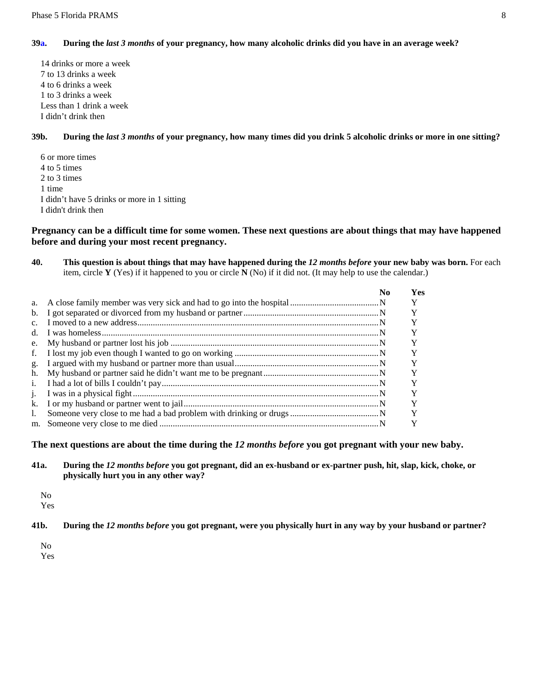## **39a. During the** *last 3 months* **of your pregnancy, how many alcoholic drinks did you have in an average week?**

14 drinks or more a week 7 to 13 drinks a week 4 to 6 drinks a week 1 to 3 drinks a week Less than 1 drink a week I didn't drink then

**39b. During the** *last 3 months* **of your pregnancy, how many times did you drink 5 alcoholic drinks or more in one sitting?** 

6 or more times 4 to 5 times 2 to 3 times 1 time I didn't have 5 drinks or more in 1 sitting I didn't drink then

**Pregnancy can be a difficult time for some women. These next questions are about things that may have happened before and during your most recent pregnancy.**

**40. This question is about things that may have happened during the** *12 months before* **your new baby was born.** For each item, circle **Y** (Yes) if it happened to you or circle **N** (No) if it did not. (It may help to use the calendar.)

|               | No | Yes |
|---------------|----|-----|
| a.            |    |     |
| b.            |    |     |
| $C_{\cdot}$   |    |     |
| d.            |    |     |
| e.            |    |     |
| f.            |    |     |
| g.            |    |     |
| h.            |    |     |
| <sup>1.</sup> |    |     |
| $\mathbf{1}$  |    |     |
| k.            |    |     |
| 1.            |    |     |
| m.            |    |     |

**The next questions are about the time during the** *12 months before* **you got pregnant with your new baby.** 

**41a. During the** *12 months before* **you got pregnant, did an ex-husband or ex-partner push, hit, slap, kick, choke, or physically hurt you in any other way?** 

No Yes

**41b. During the** *12 months before* **you got pregnant, were you physically hurt in any way by your husband or partner?** 

No

Yes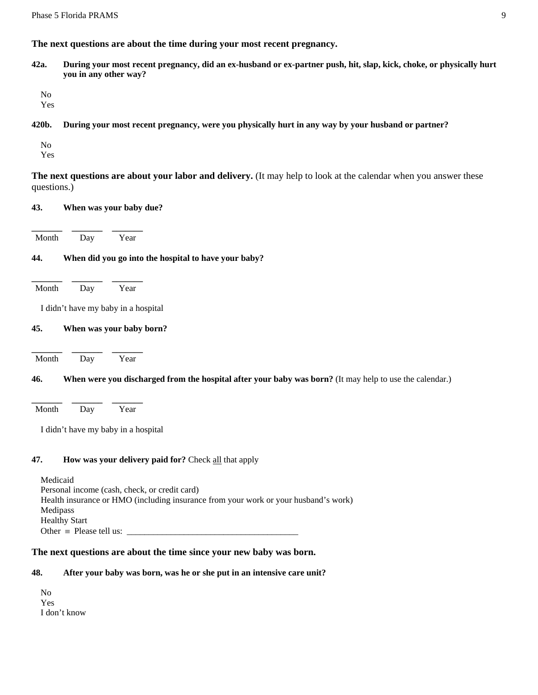Phase 5 Florida PRAMS 9

**The next questions are about the time during your most recent pregnancy.** 

**42a. During your most recent pregnancy, did an ex-husband or ex-partner push, hit, slap, kick, choke, or physically hurt you in any other way?** 

No Yes

**420b. During your most recent pregnancy, were you physically hurt in any way by your husband or partner?**

No Yes

**The next questions are about your labor and delivery.** (It may help to look at the calendar when you answer these questions.)

## **43. When was your baby due?**

**\_\_\_\_\_\_\_ \_\_\_\_\_\_\_ \_\_\_\_\_\_\_** Month Day Year

## **44. When did you go into the hospital to have your baby?**

**\_\_\_\_\_\_\_ \_\_\_\_\_\_\_ \_\_\_\_\_\_\_** Month Day Year

I didn't have my baby in a hospital

#### **45. When was your baby born?**

**\_\_\_\_\_\_\_ \_\_\_\_\_\_\_ \_\_\_\_\_\_\_** Month Day Year

#### **46. When were you discharged from the hospital after your baby was born?** (It may help to use the calendar.)

**\_\_\_\_\_\_\_ \_\_\_\_\_\_\_ \_\_\_\_\_\_\_** Month Day Year

I didn't have my baby in a hospital

#### **47. How was your delivery paid for?** Check all that apply

| Medicaid                                      |                                                                                     |
|-----------------------------------------------|-------------------------------------------------------------------------------------|
| Personal income (cash, check, or credit card) |                                                                                     |
|                                               | Health insurance or HMO (including insurance from your work or your husband's work) |
| <b>Medipass</b>                               |                                                                                     |
| <b>Healthy Start</b>                          |                                                                                     |
| Other $\equiv$ Please tell us:                |                                                                                     |

## **The next questions are about the time since your new baby was born.**

#### **48. After your baby was born, was he or she put in an intensive care unit?**

| Nο           |
|--------------|
| Yes          |
| I don't know |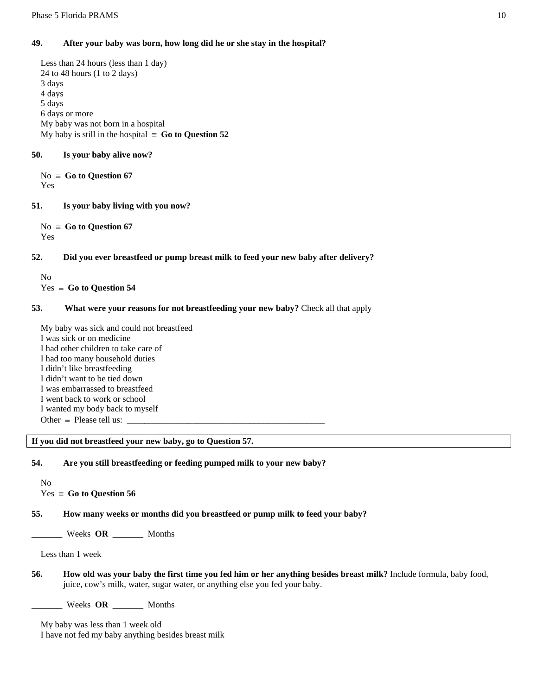## **49. After your baby was born, how long did he or she stay in the hospital?**

```
Less than 24 hours (less than 1 day)
 24 to 48 hours (1 to 2 days) 
 3 days 
 4 days 
 5 days 
 6 days or more 
 My baby was not born in a hospital 
My baby is still in the hospital \equiv Go to Question 52
```
#### **50. Is your baby alive now?**

 $No = Go$  to Question 67 Yes

**51. Is your baby living with you now?** 

 $No = Go$  to Question 67 Yes

**52. Did you ever breastfeed or pump breast milk to feed your new baby after delivery?** 

No  $Yes = Go to Question 54$ 

#### **53.** What were your reasons for not breastfeeding your new baby? Check all that apply

My baby was sick and could not breastfeed I was sick or on medicine I had other children to take care of I had too many household duties I didn't like breastfeeding I didn't want to be tied down I was embarrassed to breastfeed I went back to work or school I wanted my body back to myself Other  $\equiv$  Please tell us:

## **If you did not breastfeed your new baby, go to Question 57.**

**54. Are you still breastfeeding or feeding pumped milk to your new baby?** 

#### No

 $Yes = Go to Question 56$ 

#### **55. How many weeks or months did you breastfeed or pump milk to feed your baby?**

**\_\_\_\_\_\_\_** Weeks **OR \_\_\_\_\_\_\_** Months

Less than 1 week

- **56. How old was your baby the first time you fed him or her anything besides breast milk?** Include formula, baby food, juice, cow's milk, water, sugar water, or anything else you fed your baby.
	- **\_\_\_\_\_\_\_** Weeks **OR \_\_\_\_\_\_\_** Months

My baby was less than 1 week old I have not fed my baby anything besides breast milk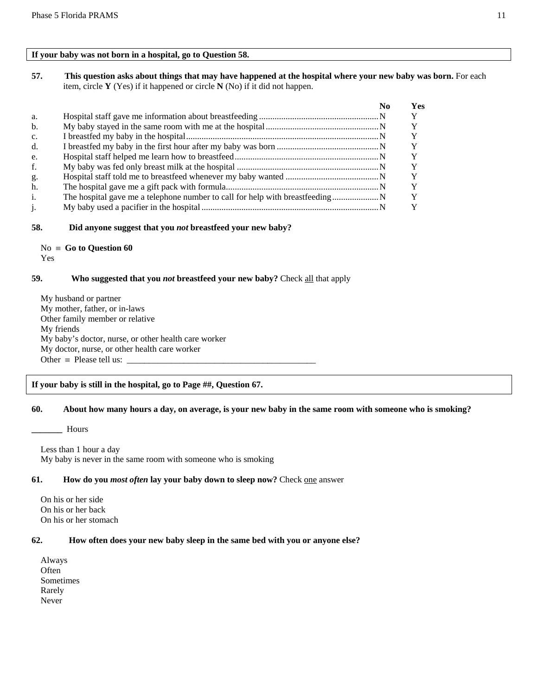#### **If your baby was not born in a hospital, go to Question 58.**

**57. This question asks about things that may have happened at the hospital where your new baby was born.** For each item, circle **Y** (Yes) if it happened or circle **N** (No) if it did not happen.

|                |  | Yes |
|----------------|--|-----|
| a.             |  |     |
| $b$            |  |     |
| $\mathbf{c}$ . |  |     |
| d.             |  |     |
| e.             |  |     |
| f.             |  |     |
| g.             |  |     |
| h.             |  |     |
| $\mathbf{i}$ . |  |     |
| j.             |  |     |

#### **58. Did anyone suggest that you** *not* **breastfeed your new baby?**

 $No = Go$  to Question 60 Yes

#### **59. Who suggested that you** *not* **breastfeed your new baby?** Check all that apply

My husband or partner My mother, father, or in-laws Other family member or relative My friends My baby's doctor, nurse, or other health care worker My doctor, nurse, or other health care worker Other  $\equiv$  Please tell us:

#### **If your baby is still in the hospital, go to Page ##, Question 67.**

#### **60. About how many hours a day, on average, is your new baby in the same room with someone who is smoking?**

**\_\_\_\_\_\_\_** Hours

Less than 1 hour a day My baby is never in the same room with someone who is smoking

#### **61. How do you** *most often* **lay your baby down to sleep now?** Check one answer

On his or her side On his or her back On his or her stomach

#### **62. How often does your new baby sleep in the same bed with you or anyone else?**

Always Often Sometimes Rarely Never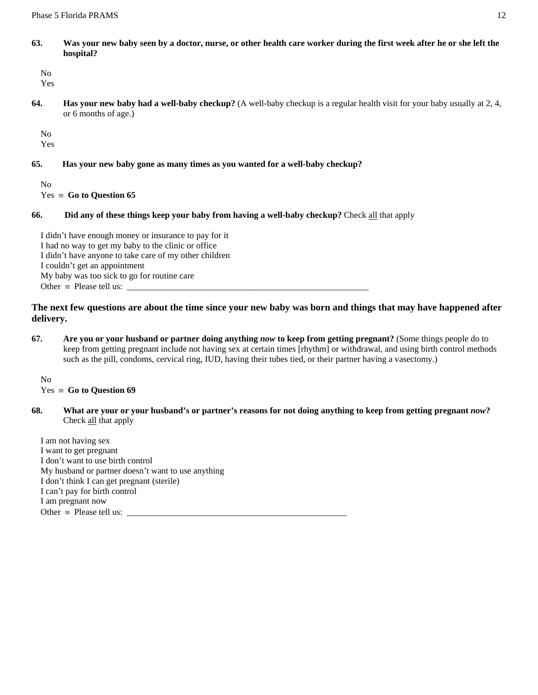**63. Was your new baby seen by a doctor, nurse, or other health care worker during the first week after he or she left the hospital?** 

No Yes

**64. Has your new baby had a well-baby checkup?** (A well-baby checkup is a regular health visit for your baby usually at 2, 4, or 6 months of age.)

No

Yes

**65. Has your new baby gone as many times as you wanted for a well-baby checkup?** 

No

 $Yes = Go to Question 65$ 

**66. Did any of these things keep your baby from having a well-baby checkup?** Check all that apply

I didn't have enough money or insurance to pay for it I had no way to get my baby to the clinic or office I didn't have anyone to take care of my other children I couldn't get an appointment My baby was too sick to go for routine care Other  $\equiv$  Please tell us:

## **The next few questions are about the time since your new baby was born and things that may have happened after delivery.**

**67. Are you or your husband or partner doing anything** *now* **to keep from getting pregnant?** (Some things people do to keep from getting pregnant include not having sex at certain times [rhythm] or withdrawal, and using birth control methods such as the pill, condoms, cervical ring, IUD, having their tubes tied, or their partner having a vasectomy.)

No

#### $Yes = Go to Question 69$

**68. What are your or your husband's or partner's reasons for not doing anything to keep from getting pregnant** *now***?** Check all that apply

I am not having sex I want to get pregnant I don't want to use birth control My husband or partner doesn't want to use anything I don't think I can get pregnant (sterile) I can't pay for birth control I am pregnant now Other  $\equiv$  Please tell us: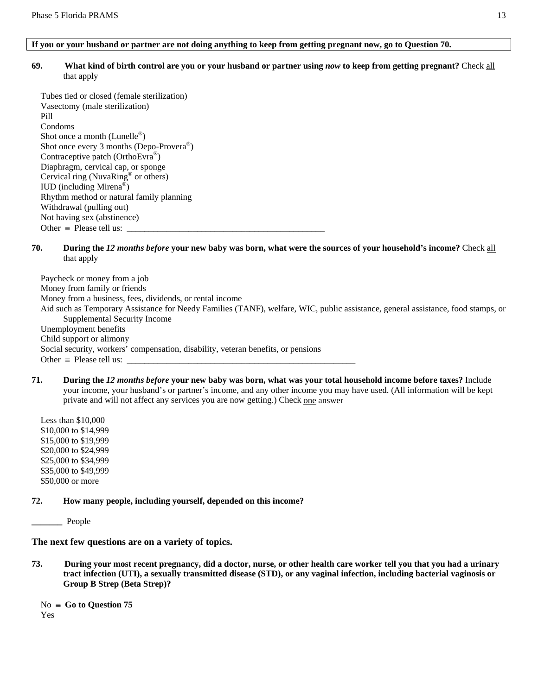#### **If you or your husband or partner are not doing anything to keep from getting pregnant now, go to Question 70.**

**69. What kind of birth control are you or your husband or partner using** *now* **to keep from getting pregnant?** Check all that apply

| Tubes tied or closed (female sterilization)           |  |
|-------------------------------------------------------|--|
| Vasectomy (male sterilization)                        |  |
| Pill                                                  |  |
| Condoms                                               |  |
| Shot once a month (Lunelle <sup>®</sup> )             |  |
| Shot once every 3 months (Depo-Provera <sup>®</sup> ) |  |
| Contraceptive patch (OrthoEvra®)                      |  |
| Diaphragm, cervical cap, or sponge                    |  |
| Cervical ring (NuvaRing <sup>®</sup> or others)       |  |
| $IUD$ (including Mirena®)                             |  |
| Rhythm method or natural family planning              |  |
| Withdrawal (pulling out)                              |  |
| Not having sex (abstinence)                           |  |
| Other $\equiv$ Please tell us:                        |  |

**70. During the** *12 months before* **your new baby was born, what were the sources of your household's income?** Check all that apply

Paycheck or money from a job Money from family or friends Money from a business, fees, dividends, or rental income Aid such as Temporary Assistance for Needy Families (TANF), welfare, WIC, public assistance, general assistance, food stamps, or Supplemental Security Income Unemployment benefits Child support or alimony Social security, workers' compensation, disability, veteran benefits, or pensions  $Other = Please tell us:$ 

**71. During the** *12 months before* **your new baby was born, what was your total household income before taxes?** Include your income, your husband's or partner's income, and any other income you may have used. (All information will be kept private and will not affect any services you are now getting.) Check one answer

Less than \$10,000 \$10,000 to \$14,999 \$15,000 to \$19,999 \$20,000 to \$24,999 \$25,000 to \$34,999 \$35,000 to \$49,999 \$50,000 or more

**72. How many people, including yourself, depended on this income?** 

**\_\_\_\_\_\_\_** People

**The next few questions are on a variety of topics.** 

**73. During your most recent pregnancy, did a doctor, nurse, or other health care worker tell you that you had a urinary tract infection (UTI), a sexually transmitted disease (STD), or any vaginal infection, including bacterial vaginosis or Group B Strep (Beta Strep)?** 

 $No \equiv Go$  to Question 75 Yes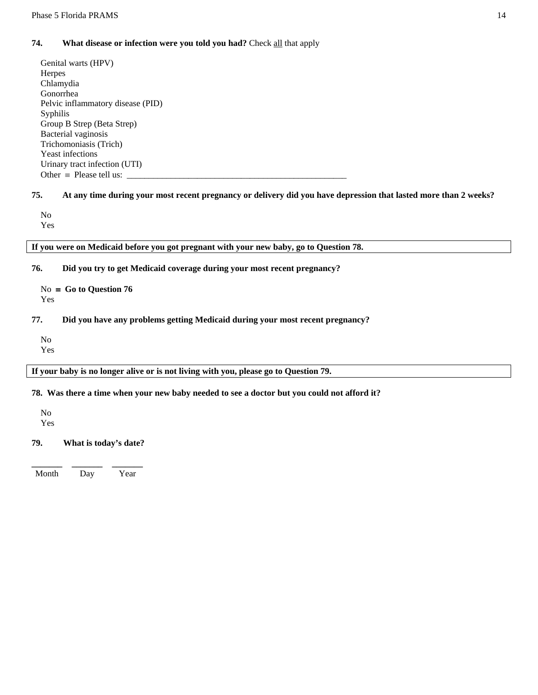#### Phase 5 Florida PRAMS 14

#### **74.** What disease or infection were you told you had? Check all that apply

| Genital warts (HPV)               |
|-----------------------------------|
| <b>Herpes</b>                     |
| Chlamydia                         |
| Gonorrhea                         |
| Pelvic inflammatory disease (PID) |
| Syphilis                          |
| Group B Strep (Beta Strep)        |
| Bacterial vaginosis               |
| Trichomoniasis (Trich)            |
| <b>Yeast infections</b>           |
| Urinary tract infection (UTI)     |
| Other $\equiv$ Please tell us:    |

#### **75. At any time during your most recent pregnancy or delivery did you have depression that lasted more than 2 weeks?**

No Yes

**If you were on Medicaid before you got pregnant with your new baby, go to Question 78.** 

#### **76. Did you try to get Medicaid coverage during your most recent pregnancy?**

No ≡ **Go to Question 76** Yes

#### **77. Did you have any problems getting Medicaid during your most recent pregnancy?**

No Yes

#### **If your baby is no longer alive or is not living with you, please go to Question 79.**

## **78. Was there a time when your new baby needed to see a doctor but you could not afford it?**

No Yes

#### **79. What is today's date?**

**\_\_\_\_\_\_\_ \_\_\_\_\_\_\_ \_\_\_\_\_\_\_** Month Day Year